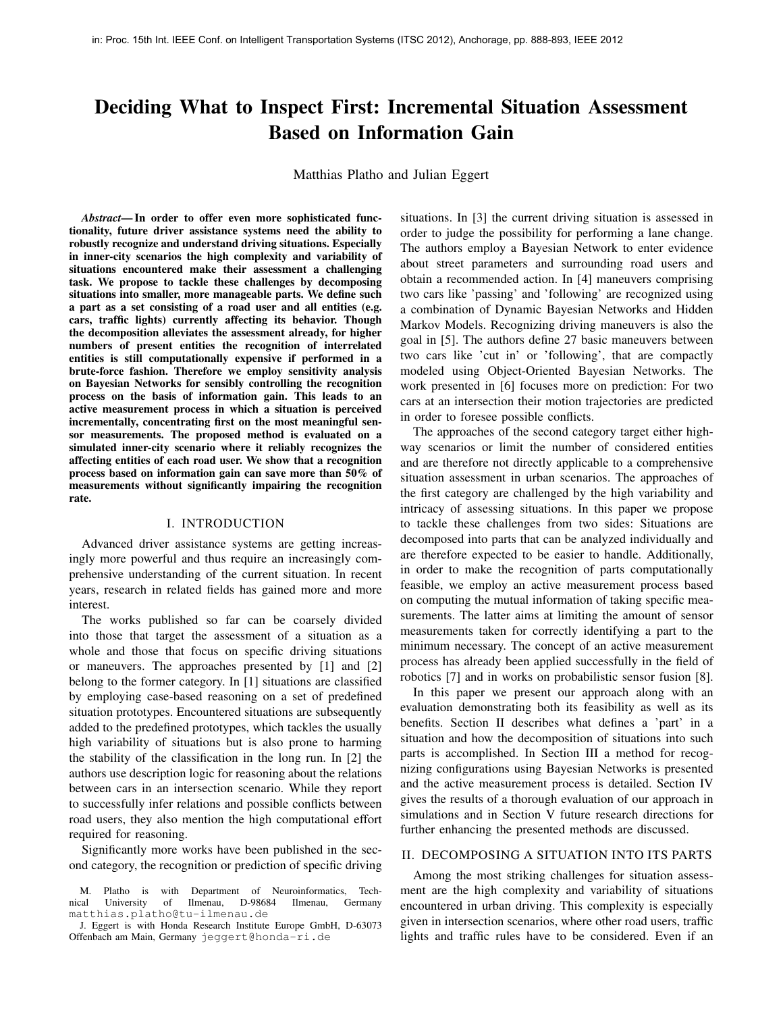# Deciding What to Inspect First: Incremental Situation Assessment Based on Information Gain

Matthias Platho and Julian Eggert

*Abstract*— In order to offer even more sophisticated functionality, future driver assistance systems need the ability to robustly recognize and understand driving situations. Especially in inner-city scenarios the high complexity and variability of situations encountered make their assessment a challenging task. We propose to tackle these challenges by decomposing situations into smaller, more manageable parts. We define such a part as a set consisting of a road user and all entities (e.g. cars, traffic lights) currently affecting its behavior. Though the decomposition alleviates the assessment already, for higher numbers of present entities the recognition of interrelated entities is still computationally expensive if performed in a brute-force fashion. Therefore we employ sensitivity analysis on Bayesian Networks for sensibly controlling the recognition process on the basis of information gain. This leads to an active measurement process in which a situation is perceived incrementally, concentrating first on the most meaningful sensor measurements. The proposed method is evaluated on a simulated inner-city scenario where it reliably recognizes the affecting entities of each road user. We show that a recognition process based on information gain can save more than 50% of measurements without significantly impairing the recognition rate.

### I. INTRODUCTION

Advanced driver assistance systems are getting increasingly more powerful and thus require an increasingly comprehensive understanding of the current situation. In recent years, research in related fields has gained more and more interest.

The works published so far can be coarsely divided into those that target the assessment of a situation as a whole and those that focus on specific driving situations or maneuvers. The approaches presented by [1] and [2] belong to the former category. In [1] situations are classified by employing case-based reasoning on a set of predefined situation prototypes. Encountered situations are subsequently added to the predefined prototypes, which tackles the usually high variability of situations but is also prone to harming the stability of the classification in the long run. In [2] the authors use description logic for reasoning about the relations between cars in an intersection scenario. While they report to successfully infer relations and possible conflicts between road users, they also mention the high computational effort required for reasoning.

Significantly more works have been published in the second category, the recognition or prediction of specific driving situations. In [3] the current driving situation is assessed in order to judge the possibility for performing a lane change. The authors employ a Bayesian Network to enter evidence about street parameters and surrounding road users and obtain a recommended action. In [4] maneuvers comprising two cars like 'passing' and 'following' are recognized using a combination of Dynamic Bayesian Networks and Hidden Markov Models. Recognizing driving maneuvers is also the goal in [5]. The authors define 27 basic maneuvers between two cars like 'cut in' or 'following', that are compactly modeled using Object-Oriented Bayesian Networks. The work presented in [6] focuses more on prediction: For two cars at an intersection their motion trajectories are predicted in order to foresee possible conflicts.

The approaches of the second category target either highway scenarios or limit the number of considered entities and are therefore not directly applicable to a comprehensive situation assessment in urban scenarios. The approaches of the first category are challenged by the high variability and intricacy of assessing situations. In this paper we propose to tackle these challenges from two sides: Situations are decomposed into parts that can be analyzed individually and are therefore expected to be easier to handle. Additionally, in order to make the recognition of parts computationally feasible, we employ an active measurement process based on computing the mutual information of taking specific measurements. The latter aims at limiting the amount of sensor measurements taken for correctly identifying a part to the minimum necessary. The concept of an active measurement process has already been applied successfully in the field of robotics [7] and in works on probabilistic sensor fusion [8].

In this paper we present our approach along with an evaluation demonstrating both its feasibility as well as its benefits. Section II describes what defines a 'part' in a situation and how the decomposition of situations into such parts is accomplished. In Section III a method for recognizing configurations using Bayesian Networks is presented and the active measurement process is detailed. Section IV gives the results of a thorough evaluation of our approach in simulations and in Section V future research directions for further enhancing the presented methods are discussed.

## II. DECOMPOSING A SITUATION INTO ITS PARTS

Among the most striking challenges for situation assessment are the high complexity and variability of situations encountered in urban driving. This complexity is especially given in intersection scenarios, where other road users, traffic lights and traffic rules have to be considered. Even if an

M. Platho is with Department of Neuroinformatics, Technical University of Ilmenau, D-98684 Ilmenau, Germany matthias.platho@tu-ilmenau.de

J. Eggert is with Honda Research Institute Europe GmbH, D-63073 Offenbach am Main, Germany jeggert@honda-ri.de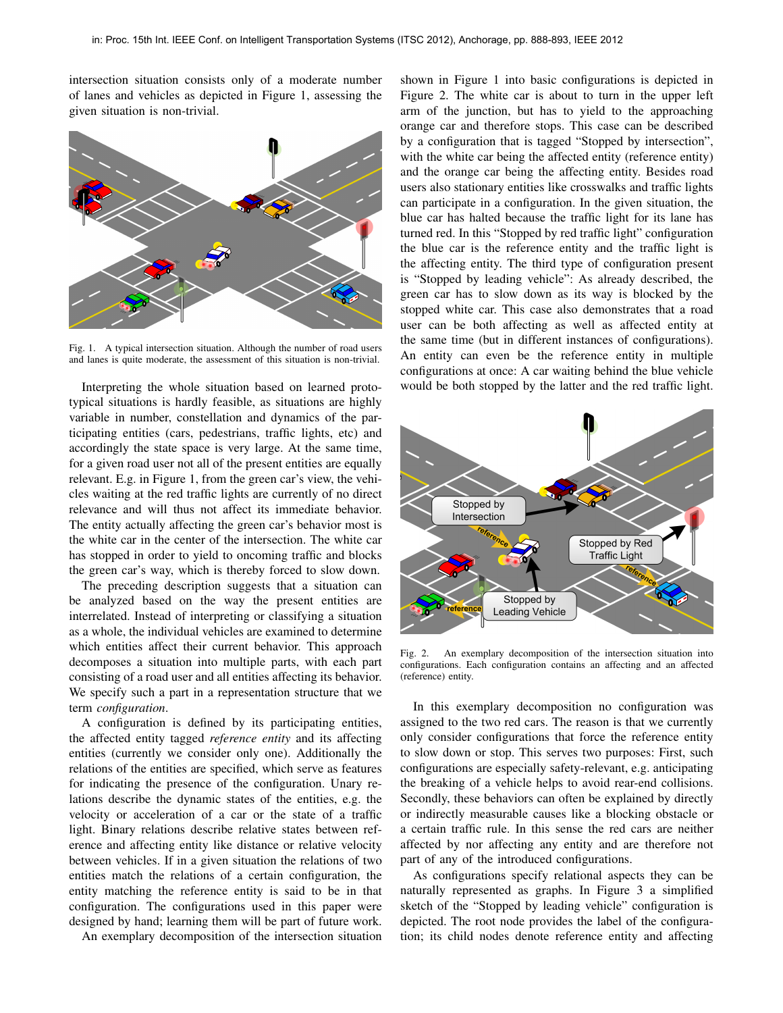intersection situation consists only of a moderate number of lanes and vehicles as depicted in Figure 1, assessing the given situation is non-trivial.



Fig. 1. A typical intersection situation. Although the number of road users and lanes is quite moderate, the assessment of this situation is non-trivial.

Interpreting the whole situation based on learned prototypical situations is hardly feasible, as situations are highly variable in number, constellation and dynamics of the participating entities (cars, pedestrians, traffic lights, etc) and accordingly the state space is very large. At the same time, for a given road user not all of the present entities are equally relevant. E.g. in Figure 1, from the green car's view, the vehicles waiting at the red traffic lights are currently of no direct relevance and will thus not affect its immediate behavior. The entity actually affecting the green car's behavior most is the white car in the center of the intersection. The white car has stopped in order to yield to oncoming traffic and blocks the green car's way, which is thereby forced to slow down.

The preceding description suggests that a situation can be analyzed based on the way the present entities are interrelated. Instead of interpreting or classifying a situation as a whole, the individual vehicles are examined to determine which entities affect their current behavior. This approach decomposes a situation into multiple parts, with each part consisting of a road user and all entities affecting its behavior. We specify such a part in a representation structure that we term *configuration*.

A configuration is defined by its participating entities, the affected entity tagged *reference entity* and its affecting entities (currently we consider only one). Additionally the relations of the entities are specified, which serve as features for indicating the presence of the configuration. Unary relations describe the dynamic states of the entities, e.g. the velocity or acceleration of a car or the state of a traffic light. Binary relations describe relative states between reference and affecting entity like distance or relative velocity between vehicles. If in a given situation the relations of two entities match the relations of a certain configuration, the entity matching the reference entity is said to be in that configuration. The configurations used in this paper were designed by hand; learning them will be part of future work.

An exemplary decomposition of the intersection situation

shown in Figure 1 into basic configurations is depicted in Figure 2. The white car is about to turn in the upper left arm of the junction, but has to yield to the approaching orange car and therefore stops. This case can be described by a configuration that is tagged "Stopped by intersection", with the white car being the affected entity (reference entity) and the orange car being the affecting entity. Besides road users also stationary entities like crosswalks and traffic lights can participate in a configuration. In the given situation, the blue car has halted because the traffic light for its lane has turned red. In this "Stopped by red traffic light" configuration the blue car is the reference entity and the traffic light is the affecting entity. The third type of configuration present is "Stopped by leading vehicle": As already described, the green car has to slow down as its way is blocked by the stopped white car. This case also demonstrates that a road user can be both affecting as well as affected entity at the same time (but in different instances of configurations). An entity can even be the reference entity in multiple configurations at once: A car waiting behind the blue vehicle would be both stopped by the latter and the red traffic light.



Fig. 2. An exemplary decomposition of the intersection situation into configurations. Each configuration contains an affecting and an affected (reference) entity.

In this exemplary decomposition no configuration was assigned to the two red cars. The reason is that we currently only consider configurations that force the reference entity to slow down or stop. This serves two purposes: First, such configurations are especially safety-relevant, e.g. anticipating the breaking of a vehicle helps to avoid rear-end collisions. Secondly, these behaviors can often be explained by directly or indirectly measurable causes like a blocking obstacle or a certain traffic rule. In this sense the red cars are neither affected by nor affecting any entity and are therefore not part of any of the introduced configurations.

As configurations specify relational aspects they can be naturally represented as graphs. In Figure 3 a simplified sketch of the "Stopped by leading vehicle" configuration is depicted. The root node provides the label of the configuration; its child nodes denote reference entity and affecting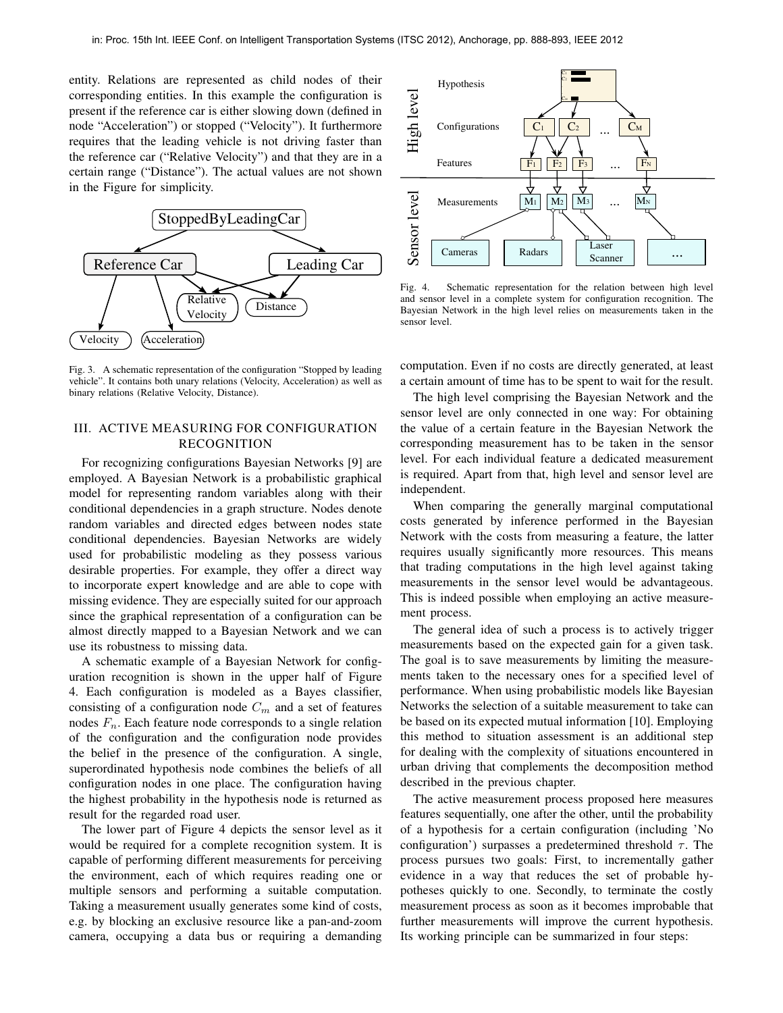entity. Relations are represented as child nodes of their corresponding entities. In this example the configuration is present if the reference car is either slowing down (defined in node "Acceleration") or stopped ("Velocity"). It furthermore requires that the leading vehicle is not driving faster than the reference car ("Relative Velocity") and that they are in a certain range ("Distance"). The actual values are not shown in the Figure for simplicity.



Fig. 3. A schematic representation of the configuration "Stopped by leading vehicle". It contains both unary relations (Velocity, Acceleration) as well as binary relations (Relative Velocity, Distance).

## III. ACTIVE MEASURING FOR CONFIGURATION RECOGNITION

For recognizing configurations Bayesian Networks [9] are employed. A Bayesian Network is a probabilistic graphical model for representing random variables along with their conditional dependencies in a graph structure. Nodes denote random variables and directed edges between nodes state conditional dependencies. Bayesian Networks are widely used for probabilistic modeling as they possess various desirable properties. For example, they offer a direct way to incorporate expert knowledge and are able to cope with missing evidence. They are especially suited for our approach since the graphical representation of a configuration can be almost directly mapped to a Bayesian Network and we can use its robustness to missing data.

A schematic example of a Bayesian Network for configuration recognition is shown in the upper half of Figure 4. Each configuration is modeled as a Bayes classifier, consisting of a configuration node  $C_m$  and a set of features nodes *Fn*. Each feature node corresponds to a single relation of the configuration and the configuration node provides the belief in the presence of the configuration. A single, superordinated hypothesis node combines the beliefs of all configuration nodes in one place. The configuration having the highest probability in the hypothesis node is returned as result for the regarded road user.

The lower part of Figure 4 depicts the sensor level as it would be required for a complete recognition system. It is capable of performing different measurements for perceiving the environment, each of which requires reading one or multiple sensors and performing a suitable computation. Taking a measurement usually generates some kind of costs, e.g. by blocking an exclusive resource like a pan-and-zoom camera, occupying a data bus or requiring a demanding



Fig. 4. Schematic representation for the relation between high level and sensor level in a complete system for configuration recognition. The Bayesian Network in the high level relies on measurements taken in the sensor level.

computation. Even if no costs are directly generated, at least a certain amount of time has to be spent to wait for the result.

The high level comprising the Bayesian Network and the sensor level are only connected in one way: For obtaining the value of a certain feature in the Bayesian Network the corresponding measurement has to be taken in the sensor level. For each individual feature a dedicated measurement is required. Apart from that, high level and sensor level are independent.

When comparing the generally marginal computational costs generated by inference performed in the Bayesian Network with the costs from measuring a feature, the latter requires usually significantly more resources. This means that trading computations in the high level against taking measurements in the sensor level would be advantageous. This is indeed possible when employing an active measurement process.

The general idea of such a process is to actively trigger measurements based on the expected gain for a given task. The goal is to save measurements by limiting the measurements taken to the necessary ones for a specified level of performance. When using probabilistic models like Bayesian Networks the selection of a suitable measurement to take can be based on its expected mutual information [10]. Employing this method to situation assessment is an additional step for dealing with the complexity of situations encountered in urban driving that complements the decomposition method described in the previous chapter.

The active measurement process proposed here measures features sequentially, one after the other, until the probability of a hypothesis for a certain configuration (including 'No configuration') surpasses a predetermined threshold *τ*. The process pursues two goals: First, to incrementally gather evidence in a way that reduces the set of probable hypotheses quickly to one. Secondly, to terminate the costly measurement process as soon as it becomes improbable that further measurements will improve the current hypothesis. Its working principle can be summarized in four steps: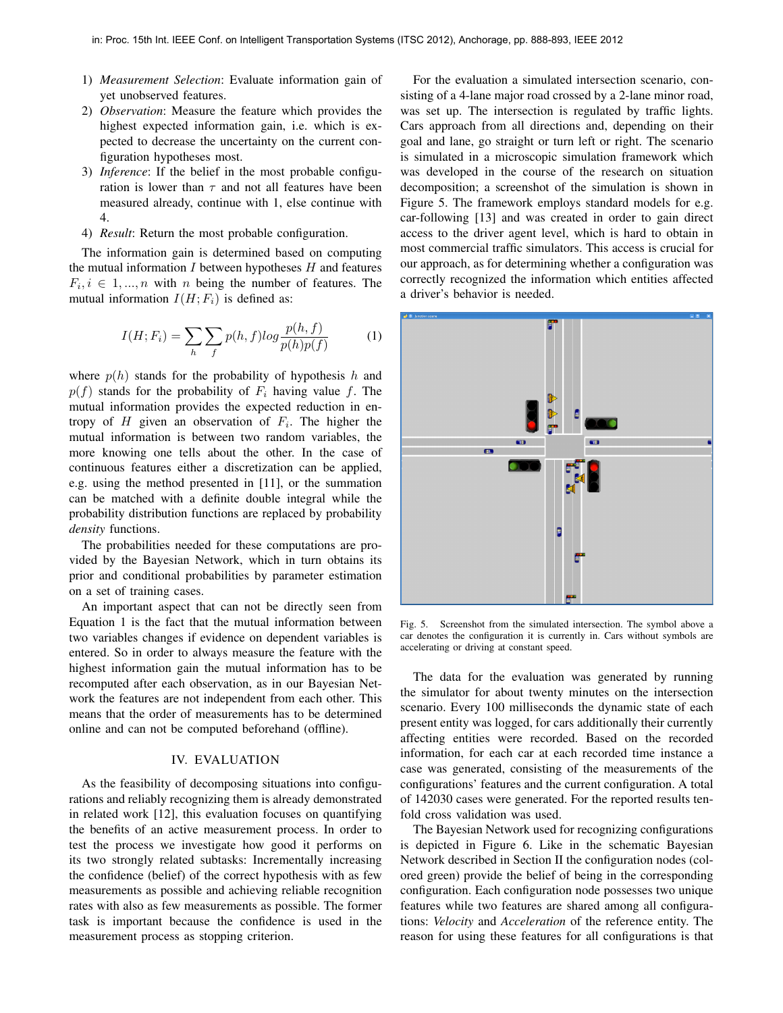- 1) *Measurement Selection*: Evaluate information gain of yet unobserved features.
- 2) *Observation*: Measure the feature which provides the highest expected information gain, i.e. which is expected to decrease the uncertainty on the current configuration hypotheses most.
- 3) *Inference*: If the belief in the most probable configuration is lower than  $\tau$  and not all features have been measured already, continue with 1, else continue with 4.
- 4) *Result*: Return the most probable configuration.

The information gain is determined based on computing the mutual information *I* between hypotheses *H* and features  $F_i, i \in 1, \ldots, n$  with *n* being the number of features. The mutual information  $I(H; F_i)$  is defined as:

$$
I(H; F_i) = \sum_{h} \sum_{f} p(h, f) \log \frac{p(h, f)}{p(h)p(f)}
$$
(1)

where  $p(h)$  stands for the probability of hypothesis  $h$  and  $p(f)$  stands for the probability of  $F_i$  having value f. The mutual information provides the expected reduction in entropy of *H* given an observation of *F<sup>i</sup>* . The higher the mutual information is between two random variables, the more knowing one tells about the other. In the case of continuous features either a discretization can be applied, e.g. using the method presented in [11], or the summation can be matched with a definite double integral while the probability distribution functions are replaced by probability *density* functions.

The probabilities needed for these computations are provided by the Bayesian Network, which in turn obtains its prior and conditional probabilities by parameter estimation on a set of training cases.

An important aspect that can not be directly seen from Equation 1 is the fact that the mutual information between two variables changes if evidence on dependent variables is entered. So in order to always measure the feature with the highest information gain the mutual information has to be recomputed after each observation, as in our Bayesian Network the features are not independent from each other. This means that the order of measurements has to be determined online and can not be computed beforehand (offline).

## IV. EVALUATION

As the feasibility of decomposing situations into configurations and reliably recognizing them is already demonstrated in related work [12], this evaluation focuses on quantifying the benefits of an active measurement process. In order to test the process we investigate how good it performs on its two strongly related subtasks: Incrementally increasing the confidence (belief) of the correct hypothesis with as few measurements as possible and achieving reliable recognition rates with also as few measurements as possible. The former task is important because the confidence is used in the measurement process as stopping criterion.

For the evaluation a simulated intersection scenario, consisting of a 4-lane major road crossed by a 2-lane minor road, was set up. The intersection is regulated by traffic lights. Cars approach from all directions and, depending on their goal and lane, go straight or turn left or right. The scenario is simulated in a microscopic simulation framework which was developed in the course of the research on situation decomposition; a screenshot of the simulation is shown in Figure 5. The framework employs standard models for e.g. car-following [13] and was created in order to gain direct access to the driver agent level, which is hard to obtain in most commercial traffic simulators. This access is crucial for our approach, as for determining whether a configuration was correctly recognized the information which entities affected a driver's behavior is needed.



Fig. 5. Screenshot from the simulated intersection. The symbol above a car denotes the configuration it is currently in. Cars without symbols are accelerating or driving at constant speed.

The data for the evaluation was generated by running the simulator for about twenty minutes on the intersection scenario. Every 100 milliseconds the dynamic state of each present entity was logged, for cars additionally their currently affecting entities were recorded. Based on the recorded information, for each car at each recorded time instance a case was generated, consisting of the measurements of the configurations' features and the current configuration. A total of 142030 cases were generated. For the reported results tenfold cross validation was used.

The Bayesian Network used for recognizing configurations is depicted in Figure 6. Like in the schematic Bayesian Network described in Section II the configuration nodes (colored green) provide the belief of being in the corresponding configuration. Each configuration node possesses two unique features while two features are shared among all configurations: *Velocity* and *Acceleration* of the reference entity. The reason for using these features for all configurations is that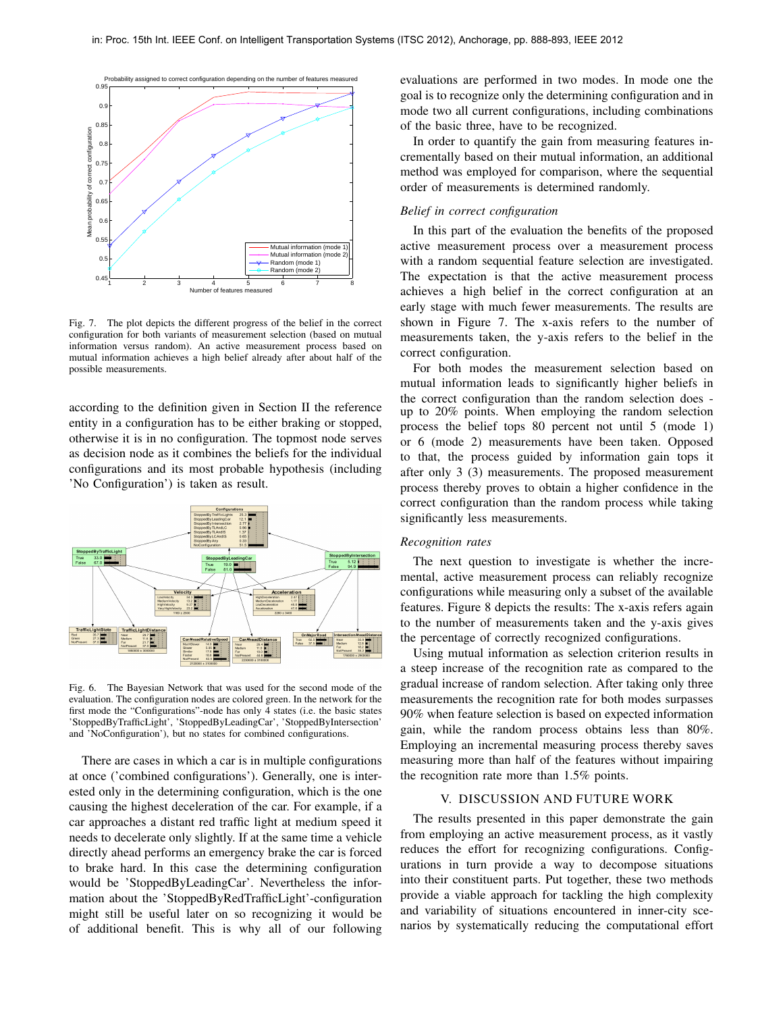

Fig. 7. The plot depicts the different progress of the belief in the correct configuration for both variants of measurement selection (based on mutual information versus random). An active measurement process based on mutual information achieves a high belief already after about half of the possible measurements.

according to the definition given in Section II the reference entity in a configuration has to be either braking or stopped, otherwise it is in no configuration. The topmost node serves as decision node as it combines the beliefs for the individual configurations and its most probable hypothesis (including 'No Configuration') is taken as result.



Fig. 6. The Bayesian Network that was used for the second mode of the evaluation. The configuration nodes are colored green. In the network for the first mode the "Configurations"-node has only 4 states (i.e. the basic states 'StoppedByTrafficLight', 'StoppedByLeadingCar', 'StoppedByIntersection' and 'NoConfiguration'), but no states for combined configurations.

There are cases in which a car is in multiple configurations at once ('combined configurations'). Generally, one is interested only in the determining configuration, which is the one causing the highest deceleration of the car. For example, if a car approaches a distant red traffic light at medium speed it needs to decelerate only slightly. If at the same time a vehicle directly ahead performs an emergency brake the car is forced to brake hard. In this case the determining configuration would be 'StoppedByLeadingCar'. Nevertheless the information about the 'StoppedByRedTrafficLight'-configuration might still be useful later on so recognizing it would be of additional benefit. This is why all of our following

evaluations are performed in two modes. In mode one the goal is to recognize only the determining configuration and in mode two all current configurations, including combinations of the basic three, have to be recognized.

In order to quantify the gain from measuring features incrementally based on their mutual information, an additional method was employed for comparison, where the sequential order of measurements is determined randomly.

## *Belief in correct configuration*

In this part of the evaluation the benefits of the proposed active measurement process over a measurement process with a random sequential feature selection are investigated. The expectation is that the active measurement process achieves a high belief in the correct configuration at an early stage with much fewer measurements. The results are shown in Figure 7. The x-axis refers to the number of measurements taken, the y-axis refers to the belief in the correct configuration.

For both modes the measurement selection based on mutual information leads to significantly higher beliefs in the correct configuration than the random selection does up to 20% points. When employing the random selection process the belief tops 80 percent not until 5 (mode 1) or 6 (mode 2) measurements have been taken. Opposed to that, the process guided by information gain tops it after only 3 (3) measurements. The proposed measurement process thereby proves to obtain a higher confidence in the correct configuration than the random process while taking significantly less measurements.

#### *Recognition rates*

The next question to investigate is whether the incremental, active measurement process can reliably recognize configurations while measuring only a subset of the available features. Figure 8 depicts the results: The x-axis refers again to the number of measurements taken and the y-axis gives the percentage of correctly recognized configurations.

Using mutual information as selection criterion results in a steep increase of the recognition rate as compared to the gradual increase of random selection. After taking only three measurements the recognition rate for both modes surpasses 90% when feature selection is based on expected information gain, while the random process obtains less than 80%. Employing an incremental measuring process thereby saves measuring more than half of the features without impairing the recognition rate more than 1.5% points.

#### V. DISCUSSION AND FUTURE WORK

The results presented in this paper demonstrate the gain from employing an active measurement process, as it vastly reduces the effort for recognizing configurations. Configurations in turn provide a way to decompose situations into their constituent parts. Put together, these two methods provide a viable approach for tackling the high complexity and variability of situations encountered in inner-city scenarios by systematically reducing the computational effort